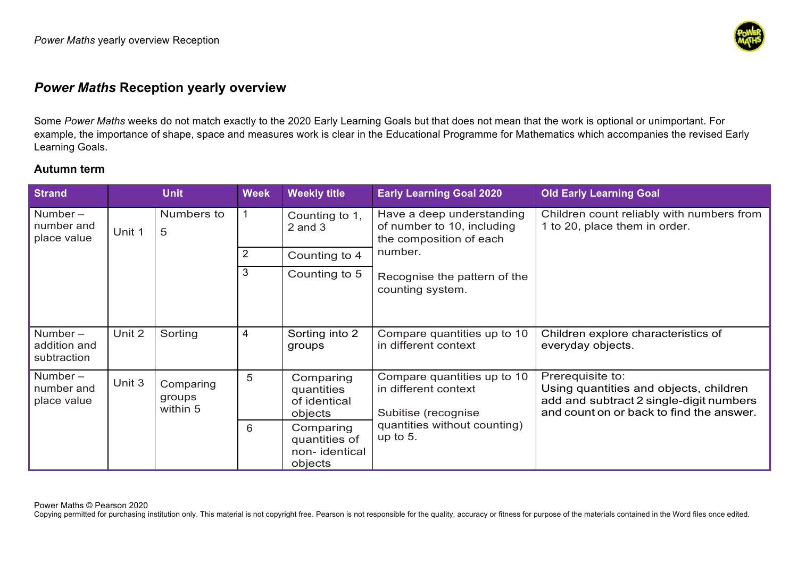

# *Power Maths* **Reception yearly overview**

Some *Power Maths* weeks do not match exactly to the 2020 Early Learning Goals but that does not mean that the work is optional or unimportant. For example, the importance of shape, space and measures work is clear in the Educational Programme for Mathematics which accompanies the revised Early Learning Goals.

## **Autumn term**

| <b>Strand</b>                             |        | <b>Unit</b>                                     | <b>Week</b>                             | <b>Weekly title</b>                                                                            | <b>Early Learning Goal 2020</b>                                                                                                                   | <b>Old Early Learning Goal</b>                                             |
|-------------------------------------------|--------|-------------------------------------------------|-----------------------------------------|------------------------------------------------------------------------------------------------|---------------------------------------------------------------------------------------------------------------------------------------------------|----------------------------------------------------------------------------|
| Number $-$<br>number and<br>place value   | Unit 1 | Numbers to<br>5                                 |                                         | Counting to 1,<br>$2$ and $3$                                                                  | Have a deep understanding<br>of number to 10, including<br>the composition of each<br>number.<br>Recognise the pattern of the<br>counting system. | Children count reliably with numbers from<br>1 to 20, place them in order. |
|                                           |        |                                                 | $\overline{2}$                          | Counting to 4                                                                                  |                                                                                                                                                   |                                                                            |
|                                           |        |                                                 | 3                                       | Counting to 5                                                                                  |                                                                                                                                                   |                                                                            |
| Number $-$<br>addition and<br>subtraction | Unit 2 | Sorting                                         | 4                                       | Sorting into 2<br>groups                                                                       | Compare quantities up to 10<br>in different context                                                                                               | Children explore characteristics of<br>everyday objects.                   |
| Number $-$<br>number and<br>place value   | Unit 3 | 5<br>Comparing<br>groups<br>within 5<br>objects | Comparing<br>quantities<br>of identical | Prerequisite to:<br>Compare quantities up to 10<br>in different context<br>Subitise (recognise | Using quantities and objects, children<br>add and subtract 2 single-digit numbers<br>and count on or back to find the answer.                     |                                                                            |
|                                           |        |                                                 | 6                                       | Comparing<br>quantities of<br>non-identical<br>objects                                         | quantities without counting)<br>up to $5$ .                                                                                                       |                                                                            |

Power Maths © Pearson 2020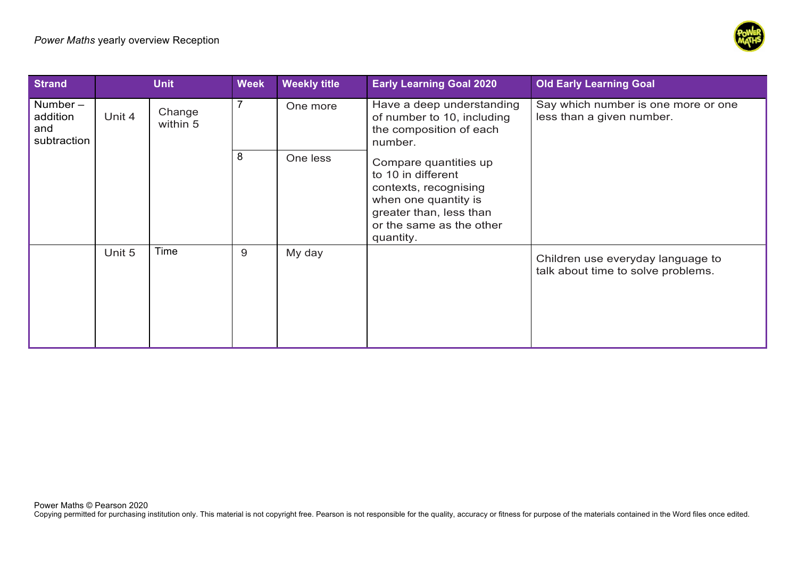

| <b>Strand</b>                                | <b>Unit</b> |                    | <b>Week</b>    | <b>Weekly title</b> | <b>Early Learning Goal 2020</b>                                                                                                                                  | <b>Old Early Learning Goal</b>                                          |
|----------------------------------------------|-------------|--------------------|----------------|---------------------|------------------------------------------------------------------------------------------------------------------------------------------------------------------|-------------------------------------------------------------------------|
| Number $-$<br>addition<br>and<br>subtraction | Unit 4      | Change<br>within 5 | $\overline{7}$ | One more            | Have a deep understanding<br>of number to 10, including<br>the composition of each<br>number.                                                                    | Say which number is one more or one<br>less than a given number.        |
|                                              |             |                    | 8              | One less            | Compare quantities up<br>to 10 in different<br>contexts, recognising<br>when one quantity is<br>greater than, less than<br>or the same as the other<br>quantity. |                                                                         |
|                                              | Unit 5      | Time               | 9              | My day              |                                                                                                                                                                  | Children use everyday language to<br>talk about time to solve problems. |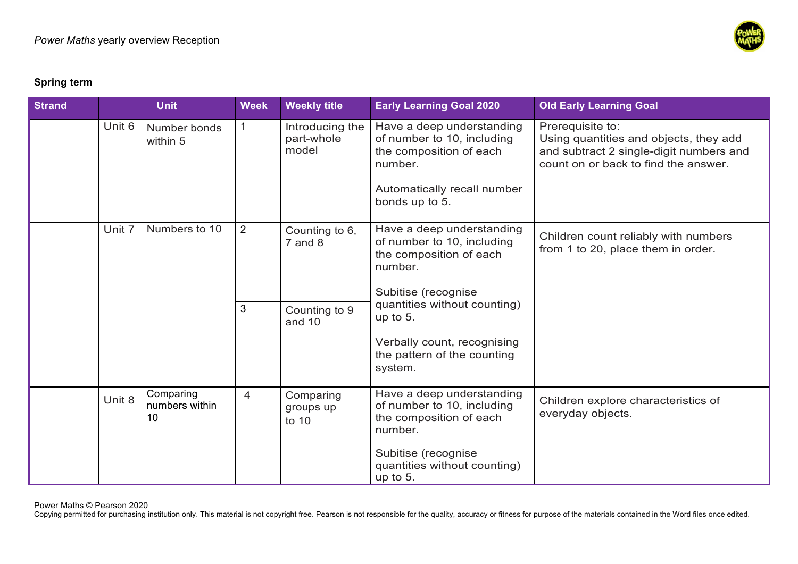

### **Spring term**

| <b>Strand</b> | <b>Unit</b> |                                   | <b>Week</b>         | <b>Weekly title</b>                                      | <b>Early Learning Goal 2020</b>                                                                                                                                                                                                              | <b>Old Early Learning Goal</b>                                                                                                                |
|---------------|-------------|-----------------------------------|---------------------|----------------------------------------------------------|----------------------------------------------------------------------------------------------------------------------------------------------------------------------------------------------------------------------------------------------|-----------------------------------------------------------------------------------------------------------------------------------------------|
|               | Unit 6      | Number bonds<br>within 5          |                     | Introducing the<br>part-whole<br>model                   | Have a deep understanding<br>of number to 10, including<br>the composition of each<br>number.<br>Automatically recall number<br>bonds up to 5.                                                                                               | Prerequisite to:<br>Using quantities and objects, they add<br>and subtract 2 single-digit numbers and<br>count on or back to find the answer. |
|               | Unit 7      | Numbers to 10                     | $\overline{2}$<br>3 | Counting to 6,<br>$7$ and $8$<br>Counting to 9<br>and 10 | Have a deep understanding<br>of number to 10, including<br>the composition of each<br>number.<br>Subitise (recognise<br>quantities without counting)<br>up to $5$ .<br>Verbally count, recognising<br>the pattern of the counting<br>system. | Children count reliably with numbers<br>from 1 to 20, place them in order.                                                                    |
|               | Unit 8      | Comparing<br>numbers within<br>10 | 4                   | Comparing<br>groups up<br>to 10                          | Have a deep understanding<br>of number to 10, including<br>the composition of each<br>number.<br>Subitise (recognise<br>quantities without counting)<br>up to $5.$                                                                           | Children explore characteristics of<br>everyday objects.                                                                                      |

Power Maths © Pearson 2020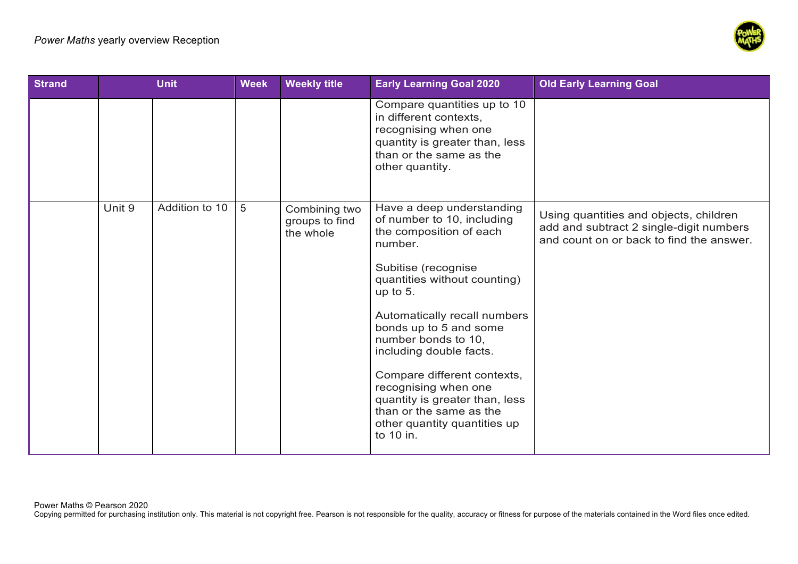

| <b>Strand</b> |        | <b>Unit</b>    | <b>Week</b> | <b>Weekly title</b>                          | <b>Early Learning Goal 2020</b>                                                                                                                                                                                                                                                                                                                                                                                                                 | <b>Old Early Learning Goal</b>                                                                                                |
|---------------|--------|----------------|-------------|----------------------------------------------|-------------------------------------------------------------------------------------------------------------------------------------------------------------------------------------------------------------------------------------------------------------------------------------------------------------------------------------------------------------------------------------------------------------------------------------------------|-------------------------------------------------------------------------------------------------------------------------------|
|               |        |                |             |                                              | Compare quantities up to 10<br>in different contexts,<br>recognising when one<br>quantity is greater than, less<br>than or the same as the<br>other quantity.                                                                                                                                                                                                                                                                                   |                                                                                                                               |
|               | Unit 9 | Addition to 10 | 5           | Combining two<br>groups to find<br>the whole | Have a deep understanding<br>of number to 10, including<br>the composition of each<br>number.<br>Subitise (recognise<br>quantities without counting)<br>up to $5.$<br>Automatically recall numbers<br>bonds up to 5 and some<br>number bonds to 10,<br>including double facts.<br>Compare different contexts,<br>recognising when one<br>quantity is greater than, less<br>than or the same as the<br>other quantity quantities up<br>to 10 in. | Using quantities and objects, children<br>add and subtract 2 single-digit numbers<br>and count on or back to find the answer. |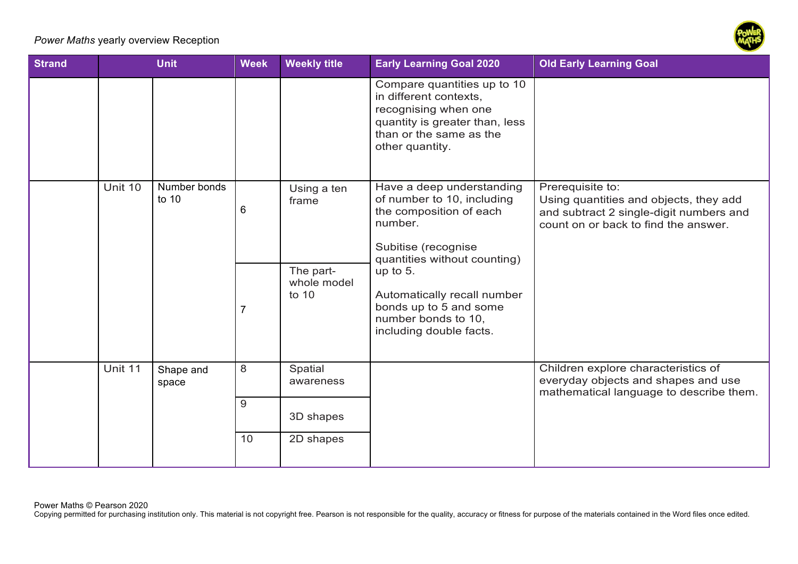### *Power Maths* yearly overview Reception



| <b>Strand</b> | <b>Unit</b> |                       | <b>Week</b> | <b>Weekly title</b>                                       | <b>Early Learning Goal 2020</b>                                                                                                                                                                                                                                               | <b>Old Early Learning Goal</b>                                                                                                                |
|---------------|-------------|-----------------------|-------------|-----------------------------------------------------------|-------------------------------------------------------------------------------------------------------------------------------------------------------------------------------------------------------------------------------------------------------------------------------|-----------------------------------------------------------------------------------------------------------------------------------------------|
|               |             |                       |             |                                                           | Compare quantities up to 10<br>in different contexts,<br>recognising when one<br>quantity is greater than, less<br>than or the same as the<br>other quantity.                                                                                                                 |                                                                                                                                               |
|               | Unit 10     | Number bonds<br>to 10 | 6           | Using a ten<br>frame<br>The part-<br>whole model<br>to 10 | Have a deep understanding<br>of number to 10, including<br>the composition of each<br>number.<br>Subitise (recognise<br>quantities without counting)<br>up to $5.$<br>Automatically recall number<br>bonds up to 5 and some<br>number bonds to 10,<br>including double facts. | Prerequisite to:<br>Using quantities and objects, they add<br>and subtract 2 single-digit numbers and<br>count on or back to find the answer. |
|               | Unit 11     | Shape and<br>space    | 8           | Spatial<br>awareness                                      |                                                                                                                                                                                                                                                                               | Children explore characteristics of<br>everyday objects and shapes and use<br>mathematical language to describe them.                         |
|               |             |                       | 9           | 3D shapes                                                 |                                                                                                                                                                                                                                                                               |                                                                                                                                               |
|               |             |                       | 10          | 2D shapes                                                 |                                                                                                                                                                                                                                                                               |                                                                                                                                               |

Power Maths © Pearson 2020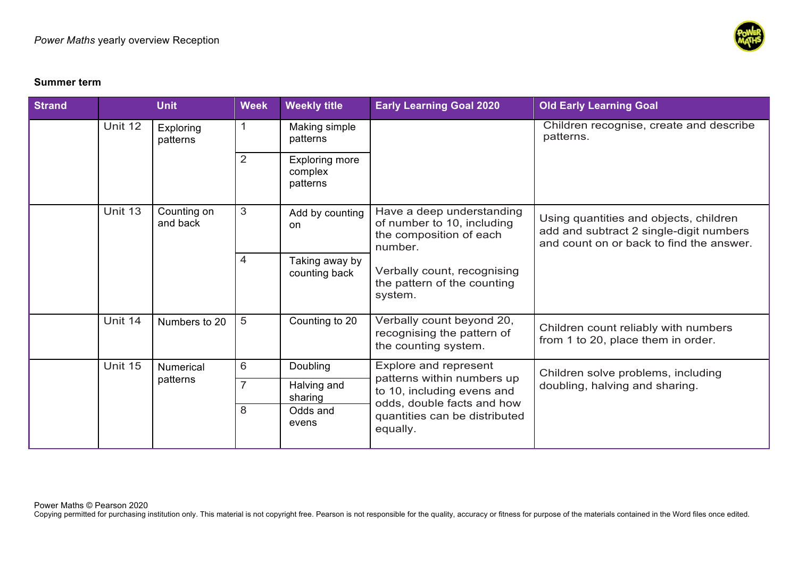

#### **Summer term**

| <b>Strand</b> |         | <b>Unit</b>                                          | <b>Week</b>                                                                            | <b>Weekly title</b>                          | <b>Early Learning Goal 2020</b>                                                               | <b>Old Early Learning Goal</b>                                                                                                |
|---------------|---------|------------------------------------------------------|----------------------------------------------------------------------------------------|----------------------------------------------|-----------------------------------------------------------------------------------------------|-------------------------------------------------------------------------------------------------------------------------------|
|               | Unit 12 | Exploring<br>patterns                                | $\mathbf{1}$                                                                           | Making simple<br>patterns                    |                                                                                               | Children recognise, create and describe<br>patterns.                                                                          |
|               |         |                                                      | $\overline{2}$                                                                         | <b>Exploring more</b><br>complex<br>patterns |                                                                                               |                                                                                                                               |
|               | Unit 13 | Counting on<br>and back                              | 3                                                                                      | Add by counting<br>on                        | Have a deep understanding<br>of number to 10, including<br>the composition of each<br>number. | Using quantities and objects, children<br>add and subtract 2 single-digit numbers<br>and count on or back to find the answer. |
|               |         |                                                      | $\overline{4}$                                                                         | Taking away by<br>counting back              | Verbally count, recognising<br>the pattern of the counting<br>system.                         |                                                                                                                               |
|               | Unit 14 | Numbers to 20                                        | 5                                                                                      | Counting to 20                               | Verbally count beyond 20,<br>recognising the pattern of<br>the counting system.               | Children count reliably with numbers<br>from 1 to 20, place them in order.                                                    |
|               | Unit 15 | <b>Numerical</b>                                     | 6                                                                                      | Doubling                                     | Explore and represent                                                                         | Children solve problems, including                                                                                            |
|               |         | patterns<br>$\overline{7}$<br>Halving and<br>sharing | patterns within numbers up<br>to 10, including evens and<br>odds, double facts and how | doubling, halving and sharing.               |                                                                                               |                                                                                                                               |
|               |         |                                                      | 8                                                                                      | Odds and<br>evens                            | quantities can be distributed<br>equally.                                                     |                                                                                                                               |